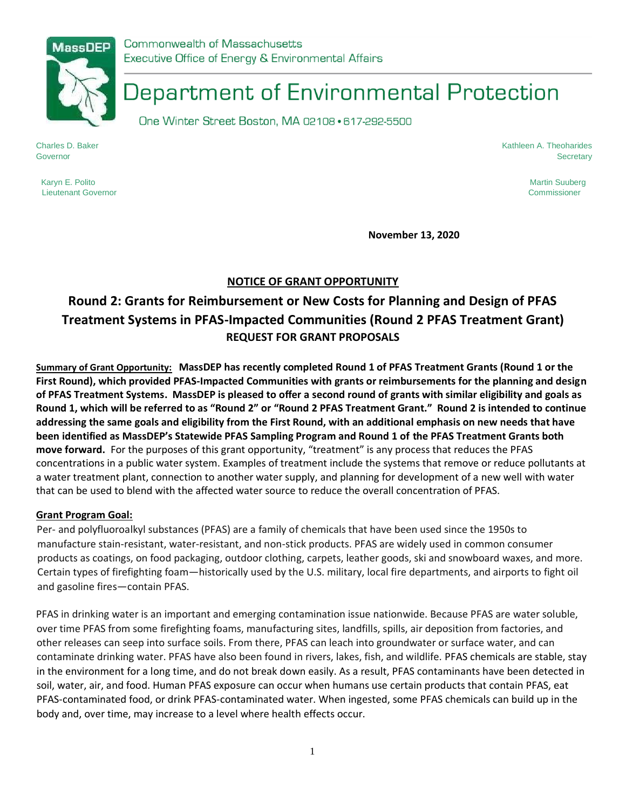

Commonwealth of Massachusetts Executive Office of Energy & Environmental Affairs

# Department of Environmental Protection

One Winter Street Boston, MA 02108 · 617-292-5500

Charles D. Baker Kathleen A. Theoharides Governor Secretary

Karyn E. Polito Martin Suuberg (1999) and the Superior Superior Superior Superior Superior Martin Suuberg (199 Lieutenant Governor Commissioner

**November 13, 2020** 

# **NOTICE OF GRANT OPPORTUNITY**

# **Round 2: Grants for Reimbursement or New Costs for Planning and Design of PFAS Treatment Systems in PFAS-Impacted Communities (Round 2 PFAS Treatment Grant) REQUEST FOR GRANT PROPOSALS**

**Summary of Grant Opportunity: MassDEP has recently completed Round 1 of PFAS Treatment Grants (Round 1 or the First Round), which provided PFAS-Impacted Communities with grants or reimbursements for the planning and design of PFAS Treatment Systems. MassDEP is pleased to offer a second round of grants with similar eligibility and goals as Round 1, which will be referred to as "Round 2" or "Round 2 PFAS Treatment Grant." Round 2 is intended to continue addressing the same goals and eligibility from the First Round, with an additional emphasis on new needs that have been identified as MassDEP's Statewide PFAS Sampling Program and Round 1 of the PFAS Treatment Grants both move forward.** For the purposes of this grant opportunity, "treatment" is any process that reduces the PFAS concentrations in a public water system. Examples of treatment include the systems that remove or reduce pollutants at a water treatment plant, connection to another water supply, and planning for development of a new well with water that can be used to blend with the affected water source to reduce the overall concentration of PFAS.

#### **Grant Program Goal:**

Per- and polyfluoroalkyl substances (PFAS) are a family of chemicals that have been used since the 1950s to manufacture stain-resistant, water-resistant, and non-stick products. PFAS are widely used in common consumer products as coatings, on food packaging, outdoor clothing, carpets, leather goods, ski and snowboard waxes, and more. Certain types of firefighting foam—historically used by the U.S. military, local fire departments, and airports to fight oil and gasoline fires—contain PFAS.

PFAS in drinking water is an important and emerging contamination issue nationwide. Because PFAS are water soluble, over time PFAS from some firefighting foams, manufacturing sites, landfills, spills, air deposition from factories, and other releases can seep into surface soils. From there, PFAS can leach into groundwater or surface water, and can contaminate drinking water. PFAS have also been found in rivers, lakes, fish, and wildlife. PFAS chemicals are stable, stay in the environment for a long time, and do not break down easily. As a result, PFAS contaminants have been detected in soil, water, air, and food. Human PFAS exposure can occur when humans use certain products that contain PFAS, eat PFAS-contaminated food, or drink PFAS-contaminated water. When ingested, some PFAS chemicals can build up in the body and, over time, may increase to a level where health effects occur.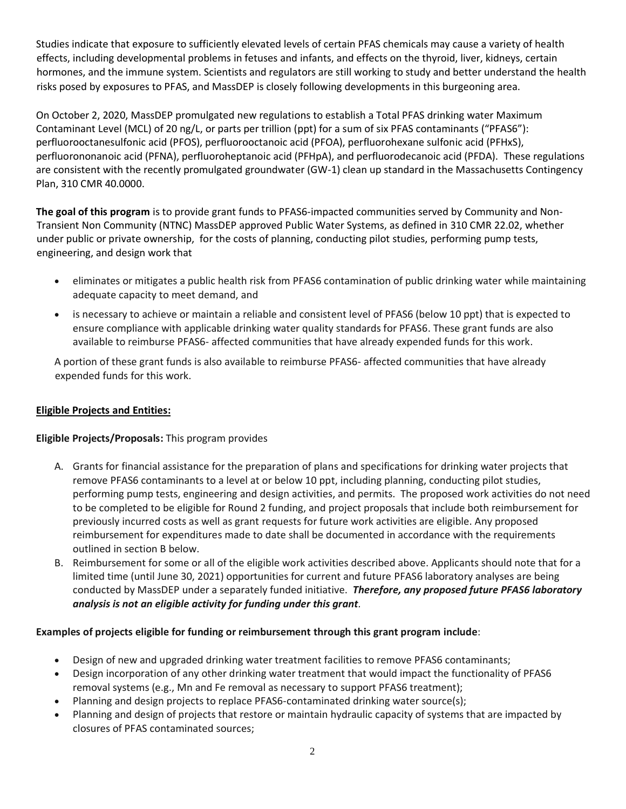Studies indicate that exposure to sufficiently elevated levels of certain PFAS chemicals may cause a variety of health effects, including developmental problems in fetuses and infants, and effects on the thyroid, liver, kidneys, certain hormones, and the immune system. Scientists and regulators are still working to study and better understand the health risks posed by exposures to PFAS, and MassDEP is closely following developments in this burgeoning area.

On October 2, 2020, MassDEP promulgated new regulations to establish a Total PFAS drinking water Maximum Contaminant Level (MCL) of 20 ng/L, or parts per trillion (ppt) for a sum of six PFAS contaminants ("PFAS6"): perfluorooctanesulfonic acid (PFOS), perfluorooctanoic acid (PFOA), perfluorohexane sulfonic acid (PFHxS), perfluorononanoic acid (PFNA), perfluoroheptanoic acid (PFHpA), and perfluorodecanoic acid (PFDA). These regulations are consistent with the recently promulgated groundwater (GW-1) clean up standard in the Massachusetts Contingency Plan, 310 CMR 40.0000.

**The goal of this program** is to provide grant funds to PFAS6-impacted communities served by Community and Non-Transient Non Community (NTNC) MassDEP approved Public Water Systems, as defined in 310 CMR 22.02, whether under public or private ownership, for the costs of planning, conducting pilot studies, performing pump tests, engineering, and design work that

- eliminates or mitigates a public health risk from PFAS6 contamination of public drinking water while maintaining adequate capacity to meet demand, and
- is necessary to achieve or maintain a reliable and consistent level of PFAS6 (below 10 ppt) that is expected to ensure compliance with applicable drinking water quality standards for PFAS6. These grant funds are also available to reimburse PFAS6- affected communities that have already expended funds for this work.

A portion of these grant funds is also available to reimburse PFAS6- affected communities that have already expended funds for this work.

## **Eligible Projects and Entities:**

## **Eligible Projects/Proposals:** This program provides

- A. Grants for financial assistance for the preparation of plans and specifications for drinking water projects that remove PFAS6 contaminants to a level at or below 10 ppt, including planning, conducting pilot studies, performing pump tests, engineering and design activities, and permits. The proposed work activities do not need to be completed to be eligible for Round 2 funding, and project proposals that include both reimbursement for previously incurred costs as well as grant requests for future work activities are eligible. Any proposed reimbursement for expenditures made to date shall be documented in accordance with the requirements outlined in section B below.
- B. Reimbursement for some or all of the eligible work activities described above. Applicants should note that for a limited time (until June 30, 2021) opportunities for current and future PFAS6 laboratory analyses are being conducted by MassDEP under a separately funded initiative. *Therefore, any proposed future PFAS6 laboratory analysis is not an eligible activity for funding under this grant.*

## **Examples of projects eligible for funding or reimbursement through this grant program include**:

- Design of new and upgraded drinking water treatment facilities to remove PFAS6 contaminants;
- Design incorporation of any other drinking water treatment that would impact the functionality of PFAS6 removal systems (e.g., Mn and Fe removal as necessary to support PFAS6 treatment);
- Planning and design projects to replace PFAS6-contaminated drinking water source(s);
- Planning and design of projects that restore or maintain hydraulic capacity of systems that are impacted by closures of PFAS contaminated sources;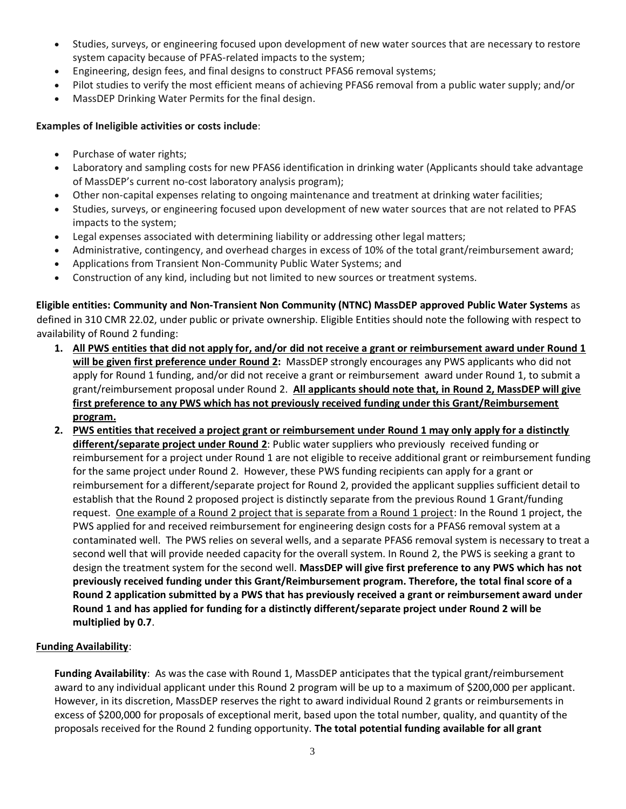- Studies, surveys, or engineering focused upon development of new water sources that are necessary to restore system capacity because of PFAS-related impacts to the system;
- Engineering, design fees, and final designs to construct PFAS6 removal systems;
- Pilot studies to verify the most efficient means of achieving PFAS6 removal from a public water supply; and/or
- MassDEP Drinking Water Permits for the final design.

#### **Examples of Ineligible activities or costs include**:

- Purchase of water rights;
- Laboratory and sampling costs for new PFAS6 identification in drinking water (Applicants should take advantage of MassDEP's current no-cost laboratory analysis program);
- Other non-capital expenses relating to ongoing maintenance and treatment at drinking water facilities;
- Studies, surveys, or engineering focused upon development of new water sources that are not related to PFAS impacts to the system;
- Legal expenses associated with determining liability or addressing other legal matters;
- Administrative, contingency, and overhead charges in excess of 10% of the total grant/reimbursement award;
- Applications from Transient Non-Community Public Water Systems; and
- Construction of any kind, including but not limited to new sources or treatment systems.

**Eligible entities: Community and Non-Transient Non Community (NTNC) MassDEP approved Public Water Systems** as defined in 310 CMR 22.02, under public or private ownership. Eligible Entities should note the following with respect to availability of Round 2 funding:

- **1. All PWS entities that did not apply for, and/or did not receive a grant or reimbursement award under Round 1 will be given first preference under Round 2:** MassDEP strongly encourages any PWS applicants who did not apply for Round 1 funding, and/or did not receive a grant or reimbursement award under Round 1, to submit a grant/reimbursement proposal under Round 2. **All applicants should note that, in Round 2, MassDEP will give first preference to any PWS which has not previously received funding under this Grant/Reimbursement program.**
- **2. PWS entities that received a project grant or reimbursement under Round 1 may only apply for a distinctly different/separate project under Round 2**: Public water suppliers who previously received funding or reimbursement for a project under Round 1 are not eligible to receive additional grant or reimbursement funding for the same project under Round 2. However, these PWS funding recipients can apply for a grant or reimbursement for a different/separate project for Round 2, provided the applicant supplies sufficient detail to establish that the Round 2 proposed project is distinctly separate from the previous Round 1 Grant/funding request. One example of a Round 2 project that is separate from a Round 1 project: In the Round 1 project, the PWS applied for and received reimbursement for engineering design costs for a PFAS6 removal system at a contaminated well. The PWS relies on several wells, and a separate PFAS6 removal system is necessary to treat a second well that will provide needed capacity for the overall system. In Round 2, the PWS is seeking a grant to design the treatment system for the second well. **MassDEP will give first preference to any PWS which has not previously received funding under this Grant/Reimbursement program. Therefore, the total final score of a Round 2 application submitted by a PWS that has previously received a grant or reimbursement award under Round 1 and has applied for funding for a distinctly different/separate project under Round 2 will be multiplied by 0.7**.

## **Funding Availability**:

**Funding Availability**: As was the case with Round 1, MassDEP anticipates that the typical grant/reimbursement award to any individual applicant under this Round 2 program will be up to a maximum of \$200,000 per applicant. However, in its discretion, MassDEP reserves the right to award individual Round 2 grants or reimbursements in excess of \$200,000 for proposals of exceptional merit, based upon the total number, quality, and quantity of the proposals received for the Round 2 funding opportunity. **The total potential funding available for all grant**